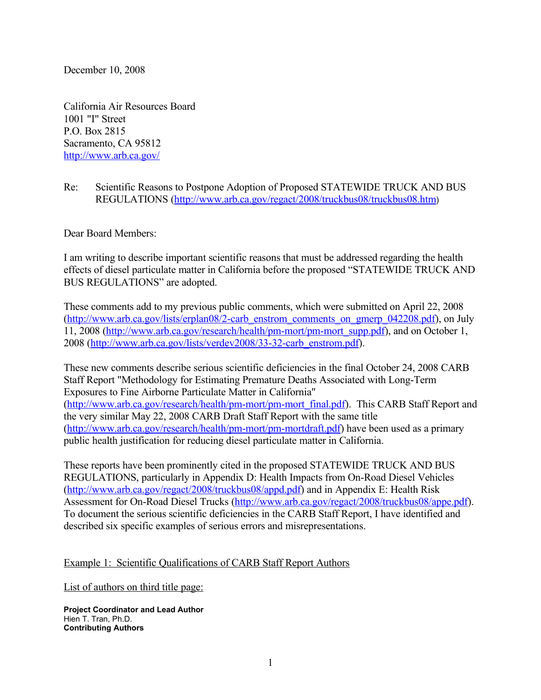December 10, 2008

California Air Resources Board 1001 "I" Street P.O. Box 2815 Sacramento, CA 95812 <http://www.arb.ca.gov/>

Re: Scientific Reasons to Postpone Adoption of Proposed STATEWIDE TRUCK AND BUS REGULATIONS [\(http://www.arb.ca.gov/regact/2008/truckbus08/truckbus08.htm](http://www.arb.ca.gov/regact/2008/truckbus08/truckbus08.htm))

Dear Board Members:

I am writing to describe important scientific reasons that must be addressed regarding the health effects of diesel particulate matter in California before the proposed "STATEWIDE TRUCK AND BUS REGULATIONS" are adopted.

These comments add to my previous public comments, which were submitted on April 22, 2008 [\(http://www.arb.ca.gov/lists/erplan08/2-carb\\_enstrom\\_comments\\_on\\_gmerp\\_042208.pdf\)](http://www.arb.ca.gov/lists/erplan08/2-carb_enstrom_comments_on_gmerp_042208.pdf), on July 11, 2008 [\(http://www.arb.ca.gov/research/health/pm-mort/pm-mort\\_supp.pdf\)](http://www.arb.ca.gov/research/health/pm-mort/pm-mort_supp.pdf), and on October 1, 2008 [\(http://www.arb.ca.gov/lists/verdev2008/33-32-carb\\_enstrom.pdf\)](http://www.arb.ca.gov/lists/verdev2008/33-32-carb_enstrom.pdf).

These new comments describe serious scientific deficiencies in the final October 24, 2008 CARB Staff Report "Methodology for Estimating Premature Deaths Associated with Long-Term Exposures to Fine Airborne Particulate Matter in California" [\(http://www.arb.ca.gov/research/health/pm-mort/pm-mort\\_final.pdf\)](http://www.arb.ca.gov/research/health/pm-mort/pm-mort_final.pdf). This CARB Staff Report and the very similar May 22, 2008 CARB Draft Staff Report with the same title [\(http://www.arb.ca.gov/research/health/pm-mort/pm-mortdraft.pdf\)](http://www.arb.ca.gov/research/health/pm-mort/pm-mortdraft.pdf) have been used as a primary public health justification for reducing diesel particulate matter in California.

These reports have been prominently cited in the proposed STATEWIDE TRUCK AND BUS REGULATIONS, particularly in Appendix D: Health Impacts from On-Road Diesel Vehicles [\(http://www.arb.ca.gov/regact/2008/truckbus08/appd.pdf\)](http://www.arb.ca.gov/regact/2008/truckbus08/appd.pdf) and in Appendix E: Health Risk Assessment for On-Road Diesel Trucks [\(http://www.arb.ca.gov/regact/2008/truckbus08/appe.pdf\)](http://www.arb.ca.gov/regact/2008/truckbus08/appe.pdf). To document the serious scientific deficiencies in the CARB Staff Report, I have identified and described six specific examples of serious errors and misrepresentations.

## Example 1: Scientific Qualifications of CARB Staff Report Authors

List of authors on third title page:

**Project Coordinator and Lead Author** Hien T. Tran, Ph.D. **Contributing Authors**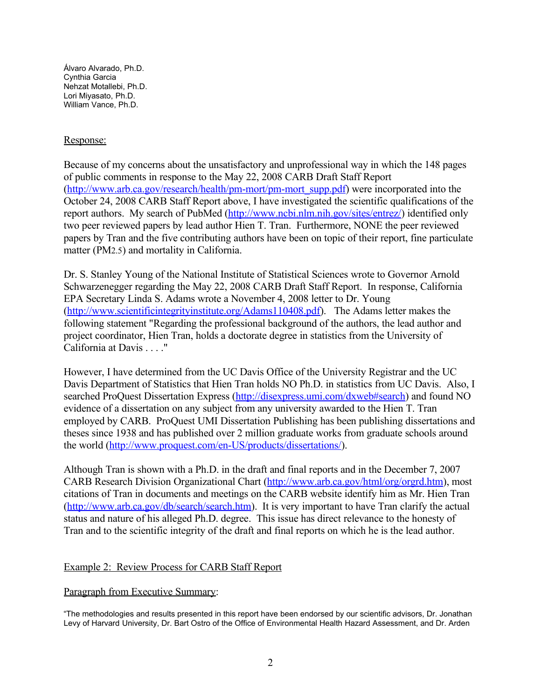Álvaro Alvarado, Ph.D. Cynthia Garcia Nehzat Motallebi, Ph.D. Lori Miyasato, Ph.D. William Vance, Ph.D.

## Response:

Because of my concerns about the unsatisfactory and unprofessional way in which the 148 pages of public comments in response to the May 22, 2008 CARB Draft Staff Report [\(http://www.arb.ca.gov/research/health/pm-mort/pm-mort\\_supp.pdf\)](http://www.arb.ca.gov/research/health/pm-mort/pm-mort_supp.pdf) were incorporated into the October 24, 2008 CARB Staff Report above, I have investigated the scientific qualifications of the report authors. My search of PubMed [\(http://www.ncbi.nlm.nih.gov/sites/entrez/\)](http://www.ncbi.nlm.nih.gov/sites/entrez/) identified only two peer reviewed papers by lead author Hien T. Tran. Furthermore, NONE the peer reviewed papers by Tran and the five contributing authors have been on topic of their report, fine particulate matter (PM2.5) and mortality in California.

Dr. S. Stanley Young of the National Institute of Statistical Sciences wrote to Governor Arnold Schwarzenegger regarding the May 22, 2008 CARB Draft Staff Report. In response, California EPA Secretary Linda S. Adams wrote a November 4, 2008 letter to Dr. Young [\(http://www.scientificintegrityinstitute.org/Adams110408.pdf\)](http://www.scientificintegrityinstitute.org/Adams110408.pdf). The Adams letter makes the following statement "Regarding the professional background of the authors, the lead author and project coordinator, Hien Tran, holds a doctorate degree in statistics from the University of California at Davis . . . ."

However, I have determined from the UC Davis Office of the University Registrar and the UC Davis Department of Statistics that Hien Tran holds NO Ph.D. in statistics from UC Davis. Also, I searched ProQuest Dissertation Express [\(http://disexpress.umi.com/dxweb#search\)](http://disexpress.umi.com/dxweb#search) and found NO evidence of a dissertation on any subject from any university awarded to the Hien T. Tran employed by CARB. ProQuest UMI Dissertation Publishing has been publishing dissertations and theses since 1938 and has published over 2 million graduate works from graduate schools around the world [\(http://www.proquest.com/en-US/products/dissertations/\)](http://www.proquest.com/en-US/products/dissertations/).

Although Tran is shown with a Ph.D. in the draft and final reports and in the December 7, 2007 CARB Research Division Organizational Chart [\(http://www.arb.ca.gov/html/org/orgrd.htm\)](http://www.arb.ca.gov/html/org/orgrd.htm), most citations of Tran in documents and meetings on the CARB website identify him as Mr. Hien Tran [\(http://www.arb.ca.gov/db/search/search.htm\)](http://www.arb.ca.gov/db/search/search.htm). It is very important to have Tran clarify the actual status and nature of his alleged Ph.D. degree. This issue has direct relevance to the honesty of Tran and to the scientific integrity of the draft and final reports on which he is the lead author.

# Example 2: Review Process for CARB Staff Report

## Paragraph from Executive Summary:

"The methodologies and results presented in this report have been endorsed by our scientific advisors, Dr. Jonathan Levy of Harvard University, Dr. Bart Ostro of the Office of Environmental Health Hazard Assessment, and Dr. Arden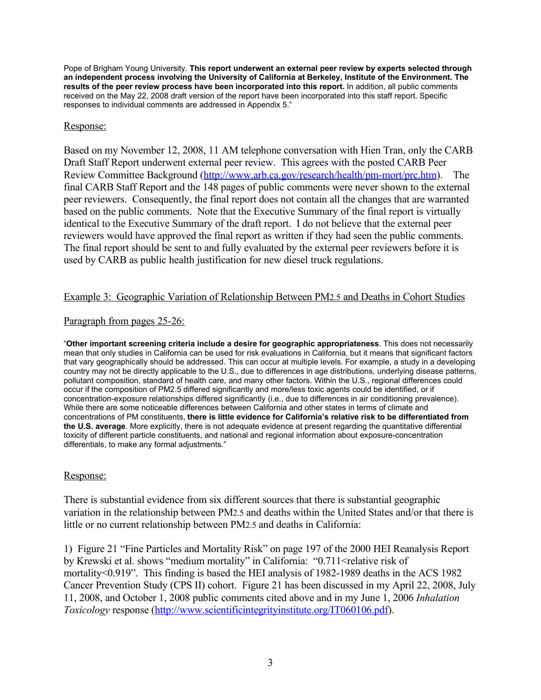Pope of Brigham Young University. **This report underwent an external peer review by experts selected through an independent process involving the University of California at Berkeley, Institute of the Environment. The results of the peer review process have been incorporated into this report.** In addition, all public comments received on the May 22, 2008 draft version of the report have been incorporated into this staff report. Specific responses to individual comments are addressed in Appendix 5."

## Response:

Based on my November 12, 2008, 11 AM telephone conversation with Hien Tran, only the CARB Draft Staff Report underwent external peer review. This agrees with the posted CARB Peer Review Committee Background [\(http://www.arb.ca.gov/research/health/pm-mort/prc.htm\)](http://www.arb.ca.gov/research/health/pm-mort/prc.htm). The final CARB Staff Report and the 148 pages of public comments were never shown to the external peer reviewers. Consequently, the final report does not contain all the changes that are warranted based on the public comments. Note that the Executive Summary of the final report is virtually identical to the Executive Summary of the draft report. I do not believe that the external peer reviewers would have approved the final report as written if they had seen the public comments. The final report should be sent to and fully evaluated by the external peer reviewers before it is used by CARB as public health justification for new diesel truck regulations.

## Example 3: Geographic Variation of Relationship Between PM2.5 and Deaths in Cohort Studies

## Paragraph from pages 25-26:

"**Other important screening criteria include a desire for geographic appropriateness**. This does not necessarily mean that only studies in California can be used for risk evaluations in California, but it means that significant factors that vary geographically should be addressed. This can occur at multiple levels. For example, a study in a developing country may not be directly applicable to the U.S., due to differences in age distributions, underlying disease patterns, pollutant composition, standard of health care, and many other factors. Within the U.S., regional differences could occur if the composition of PM2.5 differed significantly and more/less toxic agents could be identified, or if concentration-exposure relationships differed significantly (i.e., due to differences in air conditioning prevalence). While there are some noticeable differences between California and other states in terms of climate and concentrations of PM constituents, **there is little evidence for California's relative risk to be differentiated from the U.S. average**. More explicitly, there is not adequate evidence at present regarding the quantitative differential toxicity of different particle constituents, and national and regional information about exposure-concentration differentials, to make any formal adjustments."

## Response:

There is substantial evidence from six different sources that there is substantial geographic variation in the relationship between PM2.5 and deaths within the United States and/or that there is little or no current relationship between PM2.5 and deaths in California:

1) Figure 21 "Fine Particles and Mortality Risk" on page 197 of the 2000 HEI Reanalysis Report by Krewski et al. shows "medium mortality" in California: "0.711<relative risk of mortality<0.919". This finding is based the HEI analysis of 1982-1989 deaths in the ACS 1982 Cancer Prevention Study (CPS II) cohort. Figure 21 has been discussed in my April 22, 2008, July 11, 2008, and October 1, 2008 public comments cited above and in my June 1, 2006 *Inhalation Toxicology* response [\(http://www.scientificintegrityinstitute.org/IT060106.pdf\)](http://www.scientificintegrityinstitute.org/IT060106.pdf).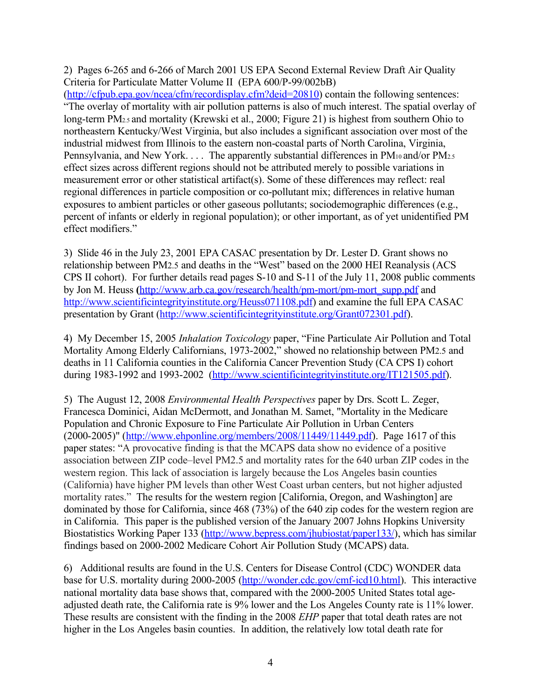2) Pages 6-265 and 6-266 of March 2001 US EPA Second External Review Draft Air Quality Criteria for Particulate Matter Volume II (EPA 600/P-99/002bB)

[\(http://cfpub.epa.gov/ncea/cfm/recordisplay.cfm?deid=20810\)](http://cfpub.epa.gov/ncea/cfm/recordisplay.cfm?deid=20810) contain the following sentences: "The overlay of mortality with air pollution patterns is also of much interest. The spatial overlay of long-term PM<sub>2.5</sub> and mortality (Krewski et al., 2000; Figure 21) is highest from southern Ohio to northeastern Kentucky/West Virginia, but also includes a significant association over most of the industrial midwest from Illinois to the eastern non-coastal parts of North Carolina, Virginia, Pennsylvania, and New York. . . . The apparently substantial differences in PM<sub>10</sub> and/or PM<sub>2.5</sub> effect sizes across different regions should not be attributed merely to possible variations in measurement error or other statistical artifact(s). Some of these differences may reflect: real regional differences in particle composition or co-pollutant mix; differences in relative human exposures to ambient particles or other gaseous pollutants; sociodemographic differences (e.g., percent of infants or elderly in regional population); or other important, as of yet unidentified PM effect modifiers."

3) Slide 46 in the July 23, 2001 EPA CASAC presentation by Dr. Lester D. Grant shows no relationship between PM2.5 and deaths in the "West" based on the 2000 HEI Reanalysis (ACS CPS II cohort). For further details read pages S-10 and S-11 of the July 11, 2008 public comments by Jon M. Heuss ([http://www.arb.ca.gov/research/health/pm-mort/pm-mort\\_supp.pdf](http://www.arb.ca.gov/research/health/pm-mort/pm-mort_supp.pdf) and [http://www.scientificintegrityinstitute.org/Heuss071108.pdf\)](http://www.scientificintegrityinstitute.org/Heuss071108.pdf) and examine the full EPA CASAC presentation by Grant [\(http://www.scientificintegrityinstitute.org/Grant072301.pdf\)](http://www.scientificintegrityinstitute.org/Grant072301.pdf).

4) My December 15, 2005 *Inhalation Toxicology* paper, "Fine Particulate Air Pollution and Total Mortality Among Elderly Californians, 1973-2002," showed no relationship between PM2.5 and deaths in 11 California counties in the California Cancer Prevention Study (CA CPS I) cohort during 1983-1992 and 1993-2002 [\(http://www.scientificintegrityinstitute.org/IT121505.pdf\)](http://www.scientificintegrityinstitute.org/IT121505.pdf).

5) The August 12, 2008 *Environmental Health Perspectives* paper by Drs. Scott L. Zeger, Francesca Dominici, Aidan McDermott, and Jonathan M. Samet, "Mortality in the Medicare Population and Chronic Exposure to Fine Particulate Air Pollution in Urban Centers (2000-2005)" [\(http://www.ehponline.org/members/2008/11449/11449.pdf\)](http://www.ehponline.org/members/2008/11449/11449.pdf). Page 1617 of this paper states: "A provocative finding is that the MCAPS data show no evidence of a positive association between ZIP code–level PM2.5 and mortality rates for the 640 urban ZIP codes in the western region. This lack of association is largely because the Los Angeles basin counties (California) have higher PM levels than other West Coast urban centers, but not higher adjusted mortality rates." The results for the western region [California, Oregon, and Washington] are dominated by those for California, since 468 (73%) of the 640 zip codes for the western region are in California. This paper is the published version of the January 2007 Johns Hopkins University Biostatistics Working Paper 133 [\(http://www.bepress.com/jhubiostat/paper133/\)](http://www.bepress.com/jhubiostat/paper133/), which has similar findings based on 2000-2002 Medicare Cohort Air Pollution Study (MCAPS) data.

6) Additional results are found in the U.S. Centers for Disease Control (CDC) WONDER data base for U.S. mortality during 2000-2005 [\(http://wonder.cdc.gov/cmf-icd10.html\)](http://wonder.cdc.gov/cmf-icd10.html). This interactive national mortality data base shows that, compared with the 2000-2005 United States total ageadjusted death rate, the California rate is 9% lower and the Los Angeles County rate is 11% lower. These results are consistent with the finding in the 2008 *EHP* paper that total death rates are not higher in the Los Angeles basin counties. In addition, the relatively low total death rate for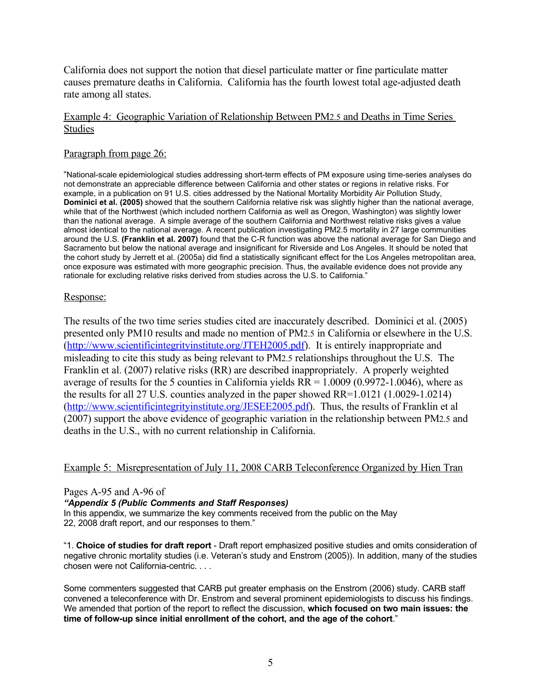California does not support the notion that diesel particulate matter or fine particulate matter causes premature deaths in California. California has the fourth lowest total age-adjusted death rate among all states.

## Example 4: Geographic Variation of Relationship Between PM2.5 and Deaths in Time Series Studies

## Paragraph from page 26:

"National-scale epidemiological studies addressing short-term effects of PM exposure using time-series analyses do not demonstrate an appreciable difference between California and other states or regions in relative risks. For example, in a publication on 91 U.S. cities addressed by the National Mortality Morbidity Air Pollution Study, **Dominici et al. (2005)** showed that the southern California relative risk was slightly higher than the national average, while that of the Northwest (which included northern California as well as Oregon, Washington) was slightly lower than the national average. A simple average of the southern California and Northwest relative risks gives a value almost identical to the national average. A recent publication investigating PM2.5 mortality in 27 large communities around the U.S. **(Franklin et al. 2007)** found that the C-R function was above the national average for San Diego and Sacramento but below the national average and insignificant for Riverside and Los Angeles. It should be noted that the cohort study by Jerrett et al. (2005a) did find a statistically significant effect for the Los Angeles metropolitan area, once exposure was estimated with more geographic precision. Thus, the available evidence does not provide any rationale for excluding relative risks derived from studies across the U.S. to California."

## Response:

The results of the two time series studies cited are inaccurately described. Dominici et al. (2005) presented only PM10 results and made no mention of PM2.5 in California or elsewhere in the U.S. [\(http://www.scientificintegrityinstitute.org/JTEH2005.pdf\)](http://www.scientificintegrityinstitute.org/JTEH2005.pdf). It is entirely inappropriate and misleading to cite this study as being relevant to PM2.5 relationships throughout the U.S. The Franklin et al. (2007) relative risks (RR) are described inappropriately. A properly weighted average of results for the 5 counties in California yields  $RR = 1.0009 (0.9972 - 1.0046)$ , where as the results for all 27 U.S. counties analyzed in the paper showed RR=1.0121 (1.0029-1.0214) [\(http://www.scientificintegrityinstitute.org/JESEE2005.pdf\)](http://www.scientificintegrityinstitute.org/xxxx2005.pdf). Thus, the results of Franklin et al (2007) support the above evidence of geographic variation in the relationship between PM2.5 and deaths in the U.S., with no current relationship in California.

## Example 5: Misrepresentation of July 11, 2008 CARB Teleconference Organized by Hien Tran

## Pages A-95 and A-96 of

## *"Appendix 5 (Public Comments and Staff Responses)*

In this appendix, we summarize the key comments received from the public on the May 22, 2008 draft report, and our responses to them."

"1. **Choice of studies for draft report** - Draft report emphasized positive studies and omits consideration of negative chronic mortality studies (i.e. Veteran's study and Enstrom (2005)). In addition, many of the studies chosen were not California-centric. . . .

Some commenters suggested that CARB put greater emphasis on the Enstrom (2006) study. CARB staff convened a teleconference with Dr. Enstrom and several prominent epidemiologists to discuss his findings. We amended that portion of the report to reflect the discussion, **which focused on two main issues: the time of follow-up since initial enrollment of the cohort, and the age of the cohort**."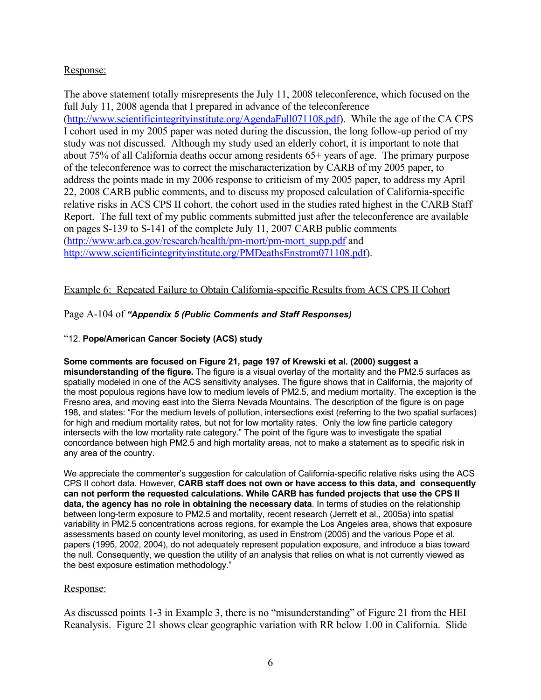# Response:

The above statement totally misrepresents the July 11, 2008 teleconference, which focused on the full July 11, 2008 agenda that I prepared in advance of the teleconference [\(http://www.scientificintegrityinstitute.org/AgendaFull071108.pdf\)](http://www.scientificintegrityinstitute.org/AgendaFull071108.pdf). While the age of the CA CPS I cohort used in my 2005 paper was noted during the discussion, the long follow-up period of my study was not discussed. Although my study used an elderly cohort, it is important to note that about 75% of all California deaths occur among residents 65+ years of age. The primary purpose of the teleconference was to correct the mischaracterization by CARB of my 2005 paper, to address the points made in my 2006 response to criticism of my 2005 paper, to address my April 22, 2008 CARB public comments, and to discuss my proposed calculation of California-specific relative risks in ACS CPS II cohort, the cohort used in the studies rated highest in the CARB Staff Report. The full text of my public comments submitted just after the teleconference are available on pages S-139 to S-141 of the complete July 11, 2007 CARB public comments [\(http://www.arb.ca.gov/research/health/pm-mort/pm-mort\\_supp.pdf](http://www.arb.ca.gov/research/health/pm-mort/pm-mort_supp.pdf) and [http://www.scientificintegrityinstitute.org/PMDeathsEnstrom071108.pdf\)](http://www.scientificintegrityinstitute.org/PMDeathsEnstrom071108.pdf).

# Example 6: Repeated Failure to Obtain California-specific Results from ACS CPS II Cohort

## Page A-104 of *"Appendix 5 (Public Comments and Staff Responses)*

#### "12. **Pope/American Cancer Society (ACS) study**

#### **Some comments are focused on Figure 21, page 197 of Krewski et al. (2000) suggest a**

**misunderstanding of the figure.** The figure is a visual overlay of the mortality and the PM2.5 surfaces as spatially modeled in one of the ACS sensitivity analyses. The figure shows that in California, the majority of the most populous regions have low to medium levels of PM2.5, and medium mortality. The exception is the Fresno area, and moving east into the Sierra Nevada Mountains. The description of the figure is on page 198, and states: "For the medium levels of pollution, intersections exist (referring to the two spatial surfaces) for high and medium mortality rates, but not for low mortality rates. Only the low fine particle category intersects with the low mortality rate category." The point of the figure was to investigate the spatial concordance between high PM2.5 and high mortality areas, not to make a statement as to specific risk in any area of the country.

We appreciate the commenter's suggestion for calculation of California-specific relative risks using the ACS CPS II cohort data. However, **CARB staff does not own or have access to this data, and consequently can not perform the requested calculations. While CARB has funded projects that use the CPS II data, the agency has no role in obtaining the necessary data**. In terms of studies on the relationship between long-term exposure to PM2.5 and mortality, recent research (Jerrett et al., 2005a) into spatial variability in PM2.5 concentrations across regions, for example the Los Angeles area, shows that exposure assessments based on county level monitoring, as used in Enstrom (2005) and the various Pope et al. papers (1995, 2002, 2004), do not adequately represent population exposure, and introduce a bias toward the null. Consequently, we question the utility of an analysis that relies on what is not currently viewed as the best exposure estimation methodology."

#### Response:

As discussed points 1-3 in Example 3, there is no "misunderstanding" of Figure 21 from the HEI Reanalysis. Figure 21 shows clear geographic variation with RR below 1.00 in California. Slide